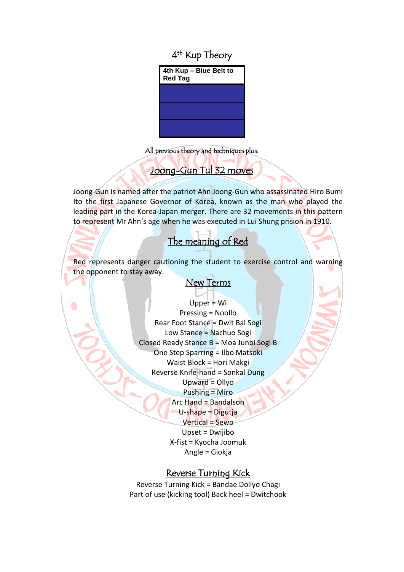### 4<sup>th</sup> Kup Theory



All previous theory and techniques plus:

Joong-Gun Tul 32 moves

Joong-Gun is named after the patriot Ahn Joong-Gun who assassinated Hiro Bumi Ito the first Japanese Governor of Korea, known as the man who played the leading part in the Korea-Japan merger. There are 32 movements in this pattern to represent Mr Ahn's age when he was executed in Lui Shung prision in 1910.

#### j The meaning of Red

Red represents danger cautioning the student to exercise control and warning the opponent to stay away.

#### New Terms

Upper = Wi Pressing = Noollo Rear Foot Stance = Dwit Bal Sogi Low Stance = Nachuo Sogi Closed Ready Stance B = Moa Junbi Sogi B One Step Sparring = Ilbo Matsoki Waist Block = Hori Makgi Reverse Knife-hand = Sonkal Dung Upward = Ollyo Pushing = Miro Arc Hand = Bandalson U-shape = Digutja

> Vertical = Sewo Upset = Dwijibo X-fist = Kyocha Joomuk Angle = Giokja

### Reverse Turning Kick

Reverse Turning Kick = Bandae Dollyo Chagi Part of use (kicking tool) Back heel = Dwitchook